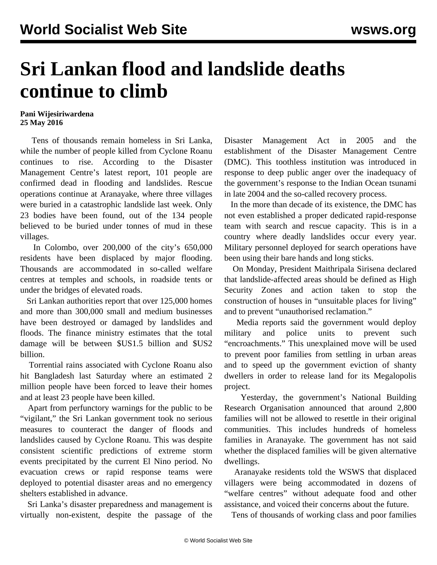## **Sri Lankan flood and landslide deaths continue to climb**

## **Pani Wijesiriwardena 25 May 2016**

 Tens of thousands remain homeless in Sri Lanka, while the number of people killed from Cyclone Roanu continues to rise. According to the Disaster Management Centre's latest report, 101 people are confirmed dead in flooding and landslides. Rescue operations continue at Aranayake, where three villages were buried in a catastrophic landslide last week. Only 23 bodies have been found, out of the 134 people believed to be buried under tonnes of mud in these villages.

 In [Colombo](/en/articles/2016/05/25/colm-m25.html), over 200,000 of the city's 650,000 residents have been displaced by major flooding. Thousands are accommodated in so-called welfare centres at temples and schools, in roadside tents or under the bridges of elevated roads.

 Sri Lankan authorities report that over 125,000 homes and more than 300,000 small and medium businesses have been destroyed or damaged by landslides and floods. The finance ministry estimates that the total damage will be between \$US1.5 billion and \$US2 billion.

 Torrential rains associated with Cyclone Roanu also hit Bangladesh last Saturday where an estimated 2 million people have been forced to leave their homes and at least 23 people have been killed.

 Apart from perfunctory warnings for the public to be "vigilant," the Sri Lankan government took no serious measures to counteract the danger of floods and landslides caused by Cyclone Roanu. This was despite consistent scientific predictions of extreme storm events precipitated by the current El Nino period. No evacuation crews or rapid response teams were deployed to potential disaster areas and no emergency shelters established in advance.

 Sri Lanka's disaster preparedness and management is virtually non-existent, despite the passage of the Disaster Management Act in 2005 and the establishment of the Disaster Management Centre (DMC). This toothless institution was introduced in response to deep public anger over the inadequacy of the government's response to the Indian Ocean tsunami in late 2004 and the so-called recovery process.

 In the more than decade of its existence, the DMC has not even established a proper dedicated rapid-response team with search and rescue capacity. This is in a country where deadly landslides occur every year. Military personnel deployed for search operations have been using their bare hands and long sticks.

 On Monday, President Maithripala Sirisena declared that landslide-affected areas should be defined as High Security Zones and action taken to stop the construction of houses in "unsuitable places for living" and to prevent "unauthorised reclamation."

 Media reports said the government would deploy military and police units to prevent such "encroachments." This unexplained move will be used to prevent poor families from settling in urban areas and to speed up the government eviction of shanty dwellers in order to release land for its [Megalopolis](/en/articles/2016/03/11/mega-m11.html) [project.](/en/articles/2016/03/11/mega-m11.html)

 Yesterday, the government's National Building Research Organisation announced that around 2,800 families will not be allowed to resettle in their original communities. This includes hundreds of homeless families in Aranayake. The government has not said whether the displaced families will be given alternative dwellings.

 Aranayake residents told the WSWS that displaced villagers were being accommodated in dozens of "welfare centres" without adequate food and other assistance, and voiced their concerns about the future.

Tens of thousands of working class and poor families